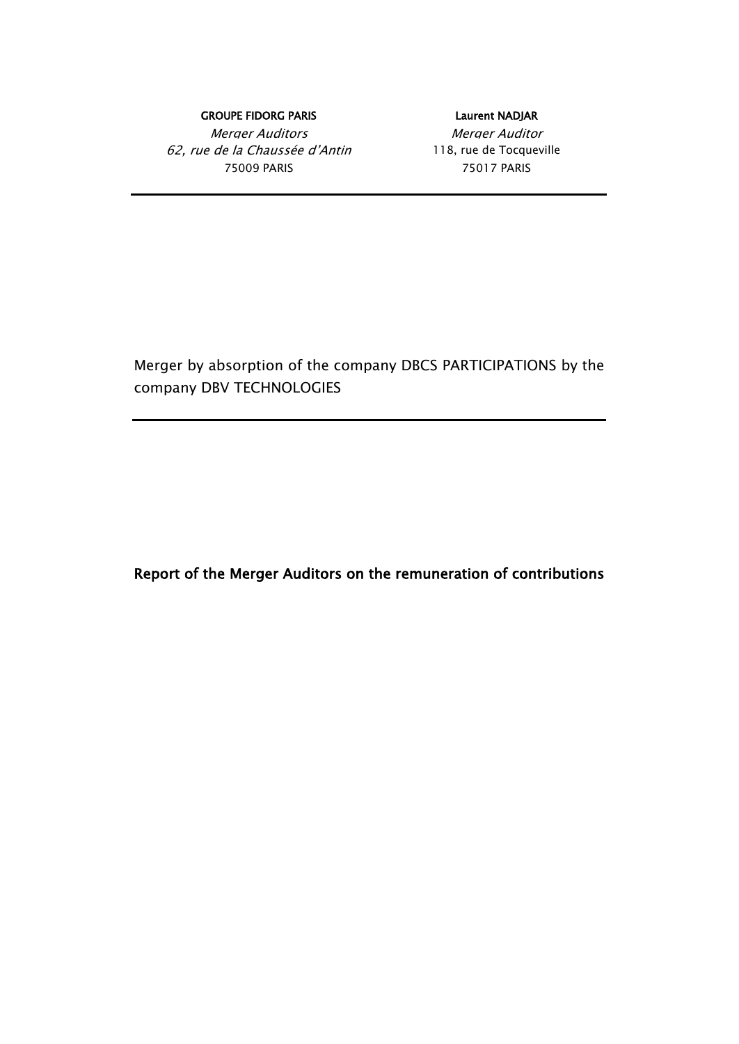### GROUPE FIDORG PARIS **EXECUTE EN ALGORITHMENT CROUPE FIDORG PARIS**

Merger Auditors **Merger Auditor** 62, rue de la Chaussée d'Antin 118, rue de Tocqueville 75009 PARIS 75017 PARIS

Merger by absorption of the company DBCS PARTICIPATIONS by the company DBV TECHNOLOGIES

Report of the Merger Auditors on the remuneration of contributions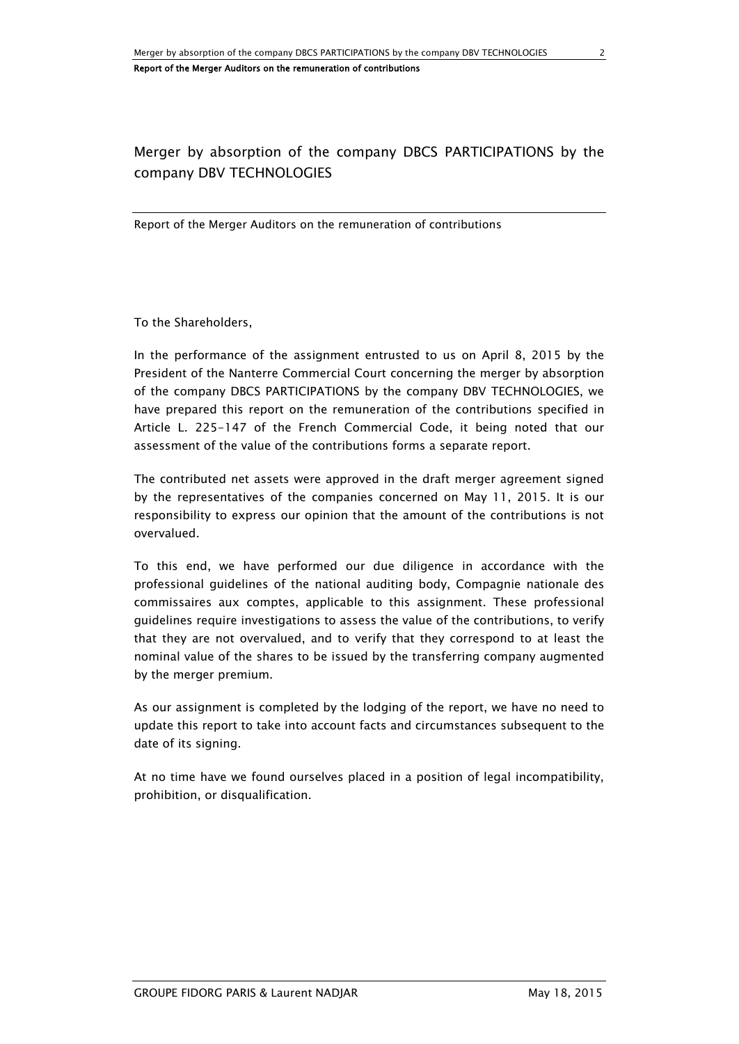# Merger by absorption of the company DBCS PARTICIPATIONS by the company DBV TECHNOLOGIES

Report of the Merger Auditors on the remuneration of contributions

To the Shareholders,

In the performance of the assignment entrusted to us on April 8, 2015 by the President of the Nanterre Commercial Court concerning the merger by absorption of the company DBCS PARTICIPATIONS by the company DBV TECHNOLOGIES, we have prepared this report on the remuneration of the contributions specified in Article L. 225-147 of the French Commercial Code, it being noted that our assessment of the value of the contributions forms a separate report.

The contributed net assets were approved in the draft merger agreement signed by the representatives of the companies concerned on May 11, 2015. It is our responsibility to express our opinion that the amount of the contributions is not overvalued.

To this end, we have performed our due diligence in accordance with the professional guidelines of the national auditing body, Compagnie nationale des commissaires aux comptes, applicable to this assignment. These professional guidelines require investigations to assess the value of the contributions, to verify that they are not overvalued, and to verify that they correspond to at least the nominal value of the shares to be issued by the transferring company augmented by the merger premium.

As our assignment is completed by the lodging of the report, we have no need to update this report to take into account facts and circumstances subsequent to the date of its signing.

At no time have we found ourselves placed in a position of legal incompatibility, prohibition, or disqualification.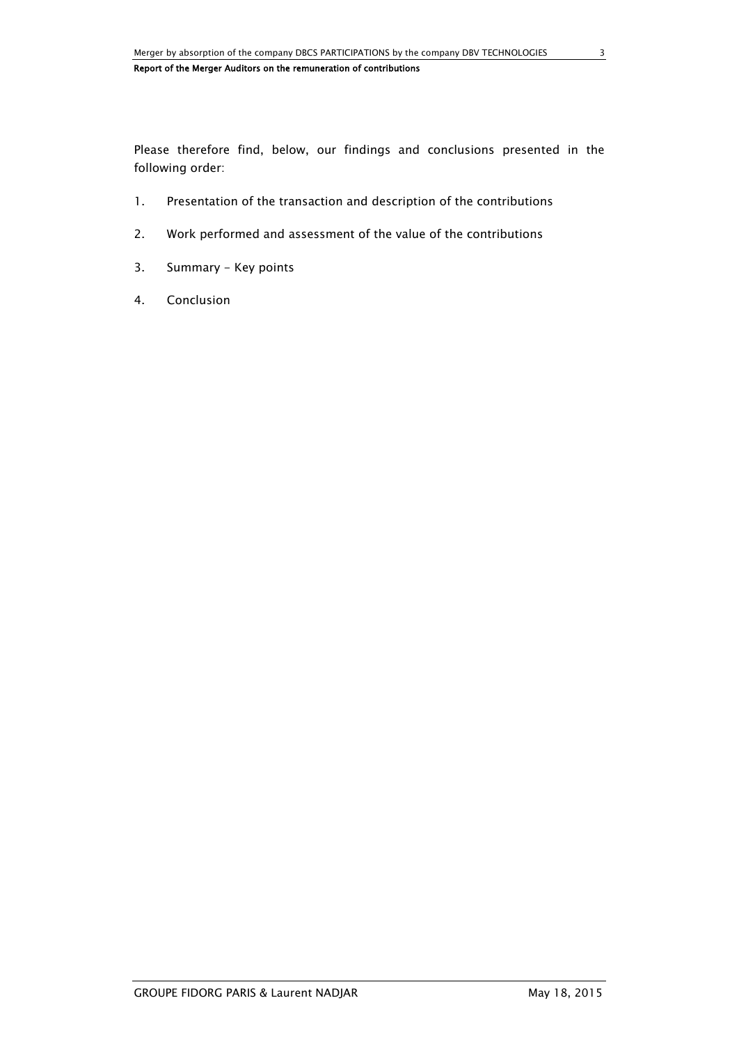Please therefore find, below, our findings and conclusions presented in the following order:

- 1. Presentation of the transaction and description of the contributions
- 2. Work performed and assessment of the value of the contributions
- 3. Summary Key points
- 4. Conclusion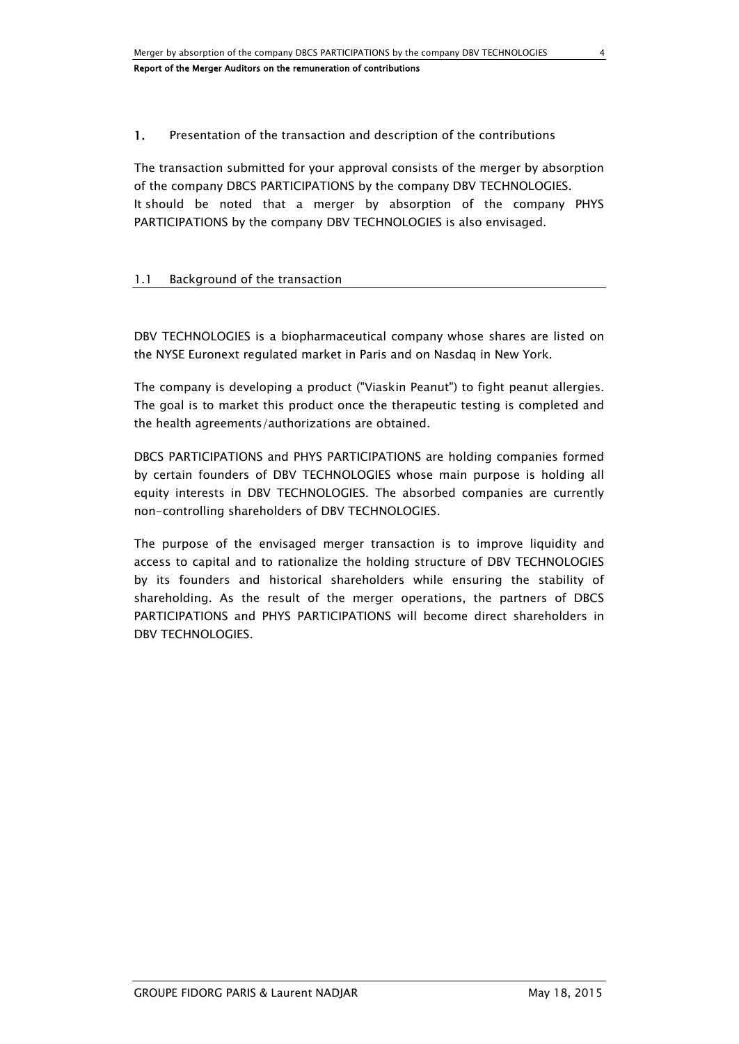# 1. Presentation of the transaction and description of the contributions

The transaction submitted for your approval consists of the merger by absorption of the company DBCS PARTICIPATIONS by the company DBV TECHNOLOGIES. It should be noted that a merger by absorption of the company PHYS PARTICIPATIONS by the company DBV TECHNOLOGIES is also envisaged.

# 1.1 Background of the transaction

DBV TECHNOLOGIES is a biopharmaceutical company whose shares are listed on the NYSE Euronext regulated market in Paris and on Nasdaq in New York.

The company is developing a product ("Viaskin Peanut") to fight peanut allergies. The goal is to market this product once the therapeutic testing is completed and the health agreements/authorizations are obtained.

DBCS PARTICIPATIONS and PHYS PARTICIPATIONS are holding companies formed by certain founders of DBV TECHNOLOGIES whose main purpose is holding all equity interests in DBV TECHNOLOGIES. The absorbed companies are currently non-controlling shareholders of DBV TECHNOLOGIES.

The purpose of the envisaged merger transaction is to improve liquidity and access to capital and to rationalize the holding structure of DBV TECHNOLOGIES by its founders and historical shareholders while ensuring the stability of shareholding. As the result of the merger operations, the partners of DBCS PARTICIPATIONS and PHYS PARTICIPATIONS will become direct shareholders in DBV TECHNOLOGIES.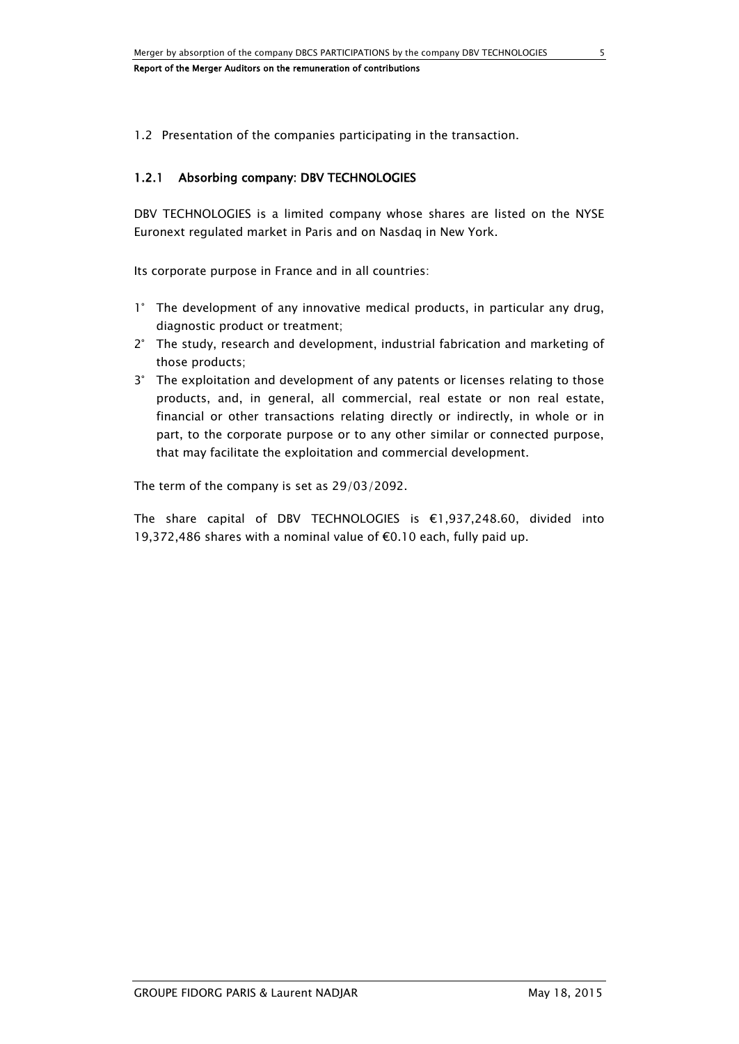1.2 Presentation of the companies participating in the transaction.

# 1.2.1 Absorbing company: DBV TECHNOLOGIES

DBV TECHNOLOGIES is a limited company whose shares are listed on the NYSE Euronext regulated market in Paris and on Nasdaq in New York.

Its corporate purpose in France and in all countries:

- 1° The development of any innovative medical products, in particular any drug, diagnostic product or treatment;
- 2° The study, research and development, industrial fabrication and marketing of those products;
- 3° The exploitation and development of any patents or licenses relating to those products, and, in general, all commercial, real estate or non real estate, financial or other transactions relating directly or indirectly, in whole or in part, to the corporate purpose or to any other similar or connected purpose, that may facilitate the exploitation and commercial development.

The term of the company is set as 29/03/2092.

The share capital of DBV TECHNOLOGIES is €1,937,248.60, divided into 19,372,486 shares with a nominal value of €0.10 each, fully paid up.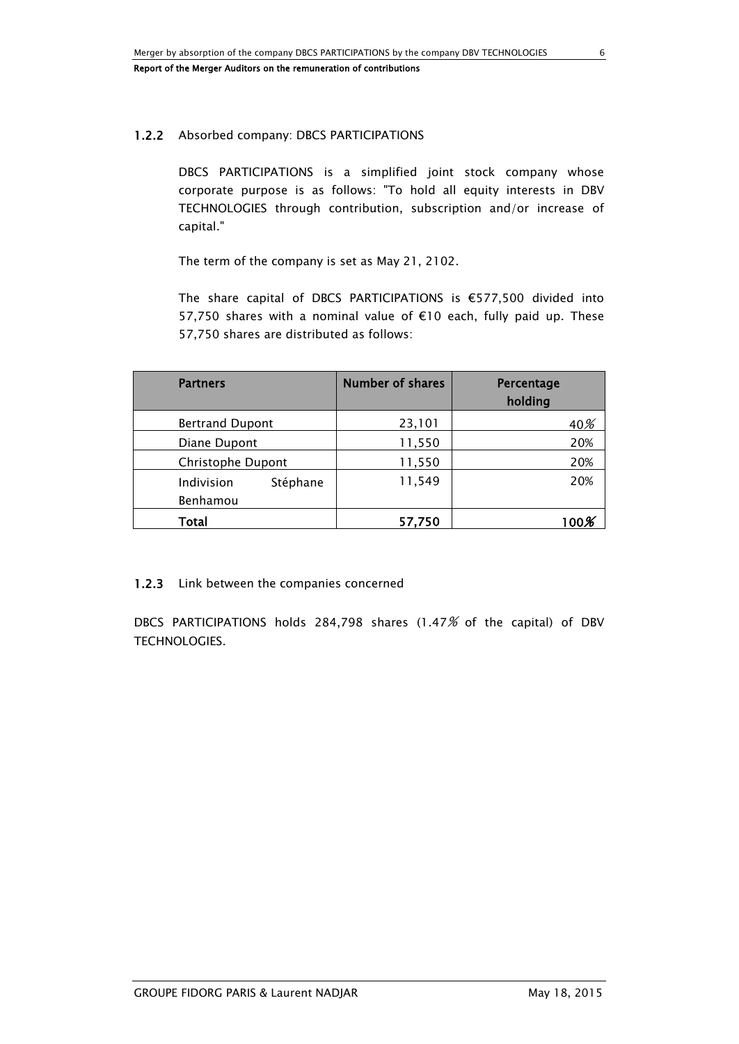# 1.2.2 Absorbed company: DBCS PARTICIPATIONS

DBCS PARTICIPATIONS is a simplified joint stock company whose corporate purpose is as follows: "To hold all equity interests in DBV TECHNOLOGIES through contribution, subscription and/or increase of capital."

The term of the company is set as May 21, 2102.

The share capital of DBCS PARTICIPATIONS is €577,500 divided into 57,750 shares with a nominal value of €10 each, fully paid up. These 57,750 shares are distributed as follows:

| <b>Partners</b>                    | <b>Number of shares</b> | Percentage<br>holding |
|------------------------------------|-------------------------|-----------------------|
| <b>Bertrand Dupont</b>             | 23,101                  | 40%                   |
| Diane Dupont                       | 11,550                  | 20%                   |
| Christophe Dupont                  | 11,550                  | 20%                   |
| Indivision<br>Stéphane<br>Benhamou | 11,549                  | 20%                   |
| Total                              | 57,750                  |                       |

# 1.2.3 Link between the companies concerned

DBCS PARTICIPATIONS holds 284,798 shares (1.47% of the capital) of DBV TECHNOLOGIES.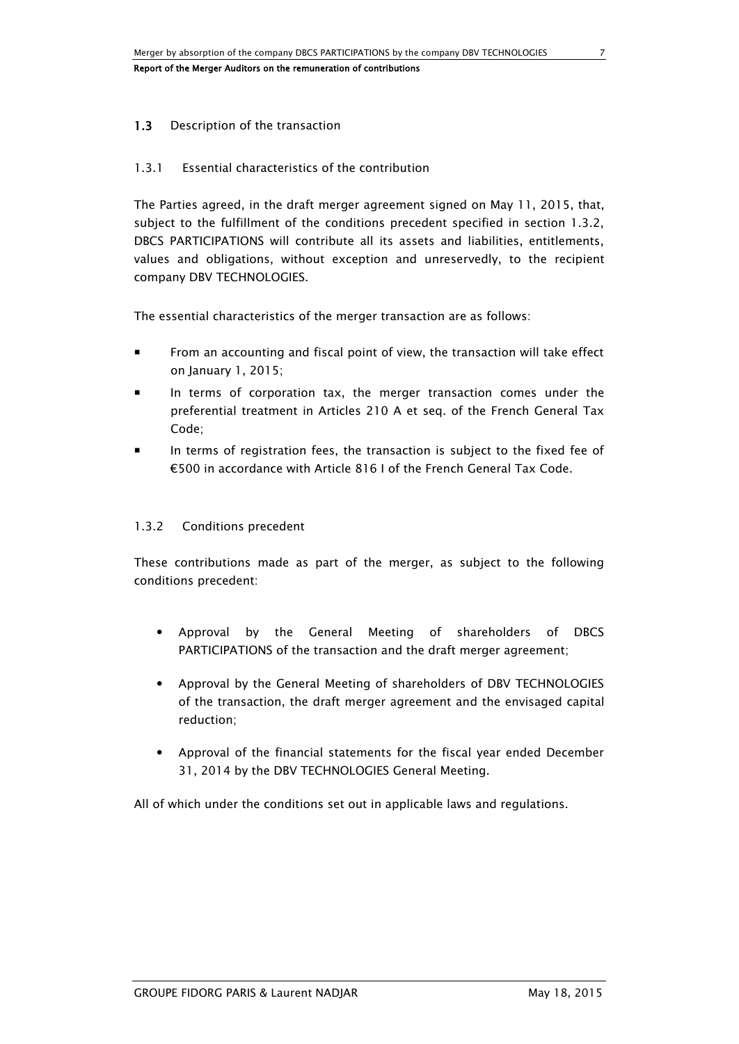# 1.3 Description of the transaction

### 1.3.1 Essential characteristics of the contribution

The Parties agreed, in the draft merger agreement signed on May 11, 2015, that, subject to the fulfillment of the conditions precedent specified in section 1.3.2, DBCS PARTICIPATIONS will contribute all its assets and liabilities, entitlements, values and obligations, without exception and unreservedly, to the recipient company DBV TECHNOLOGIES.

The essential characteristics of the merger transaction are as follows:

- From an accounting and fiscal point of view, the transaction will take effect on January 1, 2015;
- In terms of corporation tax, the merger transaction comes under the preferential treatment in Articles 210 A et seq. of the French General Tax Code;
- In terms of registration fees, the transaction is subject to the fixed fee of €500 in accordance with Article 816 I of the French General Tax Code.

### 1.3.2 Conditions precedent

These contributions made as part of the merger, as subject to the following conditions precedent:

- Approval by the General Meeting of shareholders of DBCS PARTICIPATIONS of the transaction and the draft merger agreement;
- Approval by the General Meeting of shareholders of DBV TECHNOLOGIES of the transaction, the draft merger agreement and the envisaged capital reduction;
- Approval of the financial statements for the fiscal year ended December 31, 2014 by the DBV TECHNOLOGIES General Meeting.

All of which under the conditions set out in applicable laws and regulations.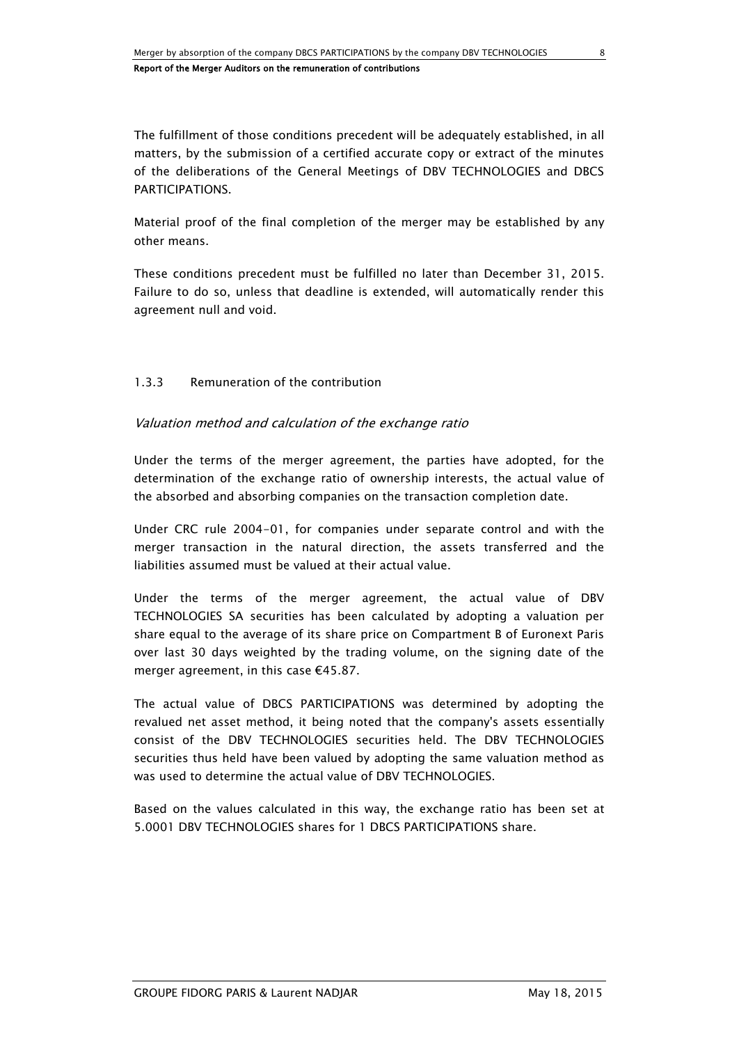The fulfillment of those conditions precedent will be adequately established, in all matters, by the submission of a certified accurate copy or extract of the minutes of the deliberations of the General Meetings of DBV TECHNOLOGIES and DBCS **PARTICIPATIONS** 

Material proof of the final completion of the merger may be established by any other means.

These conditions precedent must be fulfilled no later than December 31, 2015. Failure to do so, unless that deadline is extended, will automatically render this agreement null and void.

### 1.3.3 Remuneration of the contribution

### Valuation method and calculation of the exchange ratio

Under the terms of the merger agreement, the parties have adopted, for the determination of the exchange ratio of ownership interests, the actual value of the absorbed and absorbing companies on the transaction completion date.

Under CRC rule 2004-01, for companies under separate control and with the merger transaction in the natural direction, the assets transferred and the liabilities assumed must be valued at their actual value.

Under the terms of the merger agreement, the actual value of DBV TECHNOLOGIES SA securities has been calculated by adopting a valuation per share equal to the average of its share price on Compartment B of Euronext Paris over last 30 days weighted by the trading volume, on the signing date of the merger agreement, in this case €45.87.

The actual value of DBCS PARTICIPATIONS was determined by adopting the revalued net asset method, it being noted that the company's assets essentially consist of the DBV TECHNOLOGIES securities held. The DBV TECHNOLOGIES securities thus held have been valued by adopting the same valuation method as was used to determine the actual value of DBV TECHNOLOGIES.

Based on the values calculated in this way, the exchange ratio has been set at 5.0001 DBV TECHNOLOGIES shares for 1 DBCS PARTICIPATIONS share.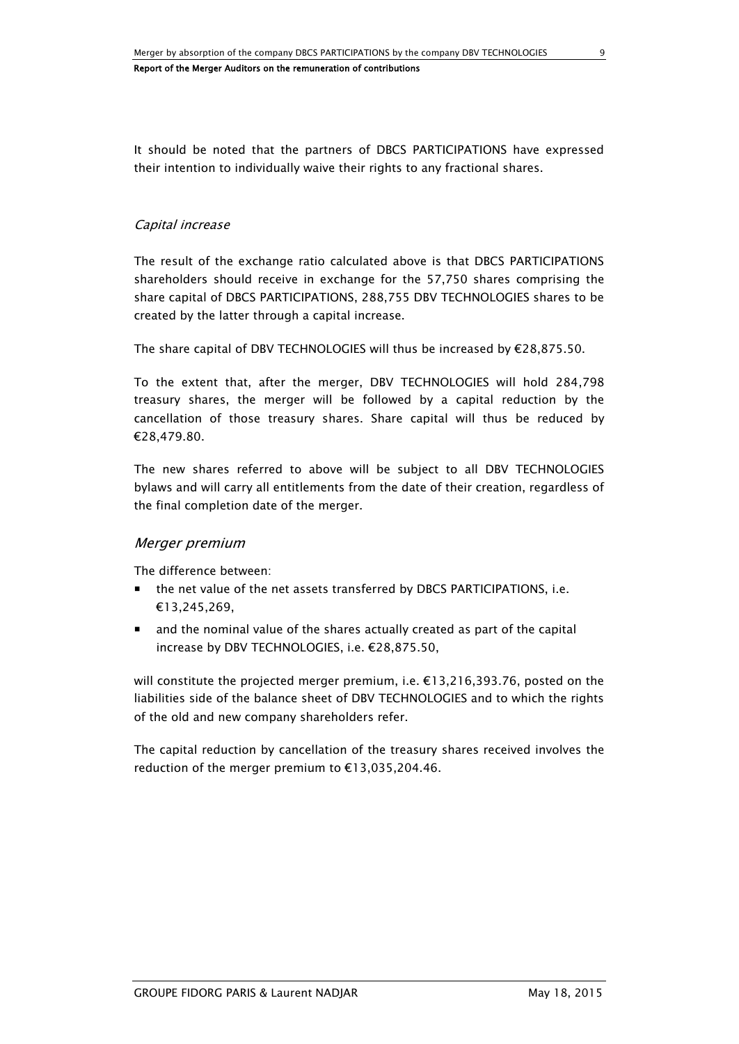It should be noted that the partners of DBCS PARTICIPATIONS have expressed their intention to individually waive their rights to any fractional shares.

# Capital increase

The result of the exchange ratio calculated above is that DBCS PARTICIPATIONS shareholders should receive in exchange for the 57,750 shares comprising the share capital of DBCS PARTICIPATIONS, 288,755 DBV TECHNOLOGIES shares to be created by the latter through a capital increase.

The share capital of DBV TECHNOLOGIES will thus be increased by €28,875.50.

To the extent that, after the merger, DBV TECHNOLOGIES will hold 284,798 treasury shares, the merger will be followed by a capital reduction by the cancellation of those treasury shares. Share capital will thus be reduced by €28,479.80.

The new shares referred to above will be subject to all DBV TECHNOLOGIES bylaws and will carry all entitlements from the date of their creation, regardless of the final completion date of the merger.

### Merger premium

The difference between:

- the net value of the net assets transferred by DBCS PARTICIPATIONS, i.e. €13,245,269,
- and the nominal value of the shares actually created as part of the capital increase by DBV TECHNOLOGIES, i.e. €28,875.50,

will constitute the projected merger premium, i.e. €13,216,393.76, posted on the liabilities side of the balance sheet of DBV TECHNOLOGIES and to which the rights of the old and new company shareholders refer.

The capital reduction by cancellation of the treasury shares received involves the reduction of the merger premium to €13,035,204.46.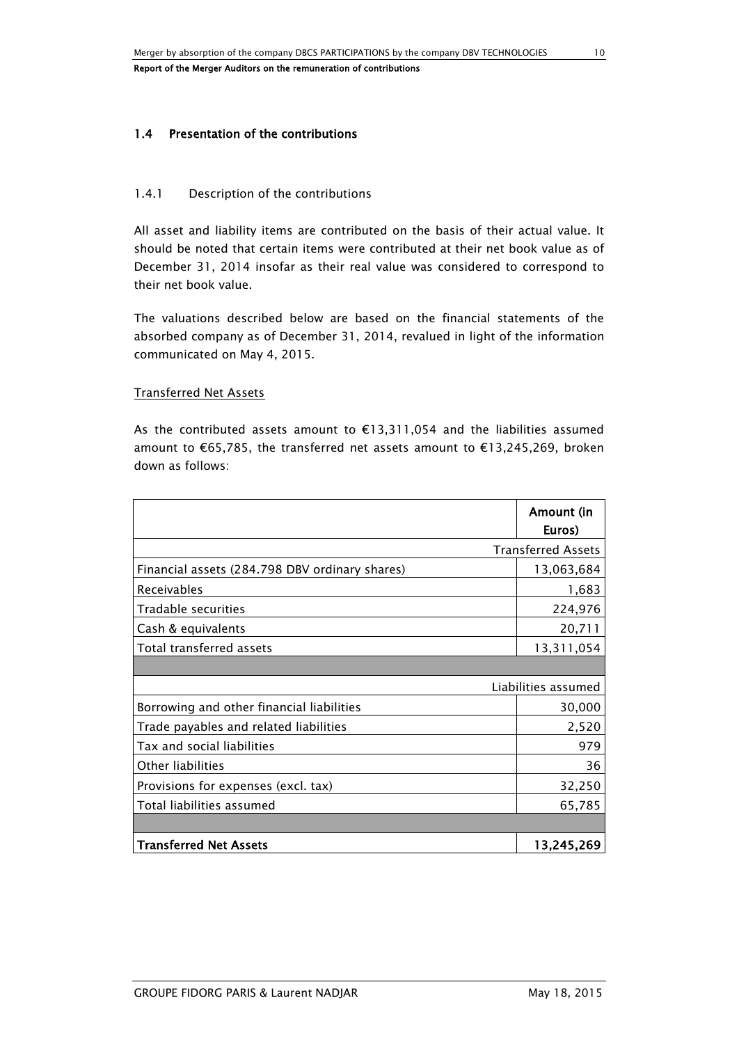### 1.4 Presentation of the contributions

#### 1.4.1 Description of the contributions

All asset and liability items are contributed on the basis of their actual value. It should be noted that certain items were contributed at their net book value as of December 31, 2014 insofar as their real value was considered to correspond to their net book value.

The valuations described below are based on the financial statements of the absorbed company as of December 31, 2014, revalued in light of the information communicated on May 4, 2015.

#### Transferred Net Assets

As the contributed assets amount to €13,311,054 and the liabilities assumed amount to €65,785, the transferred net assets amount to €13,245,269, broken down as follows:

|                                                | Amount (in<br>Euros)      |
|------------------------------------------------|---------------------------|
|                                                | <b>Transferred Assets</b> |
| Financial assets (284.798 DBV ordinary shares) | 13,063,684                |
| Receivables                                    | 1,683                     |
| Tradable securities                            | 224,976                   |
| Cash & equivalents                             | 20,711                    |
| Total transferred assets                       | 13,311,054                |
|                                                |                           |
|                                                | Liabilities assumed       |
| Borrowing and other financial liabilities      | 30,000                    |
| Trade payables and related liabilities         | 2,520                     |
| Tax and social liabilities                     | 979                       |
| Other liabilities                              | 36                        |
| Provisions for expenses (excl. tax)            | 32,250                    |
| Total liabilities assumed                      | 65,785                    |
|                                                |                           |
| <b>Transferred Net Assets</b>                  | 13,245,269                |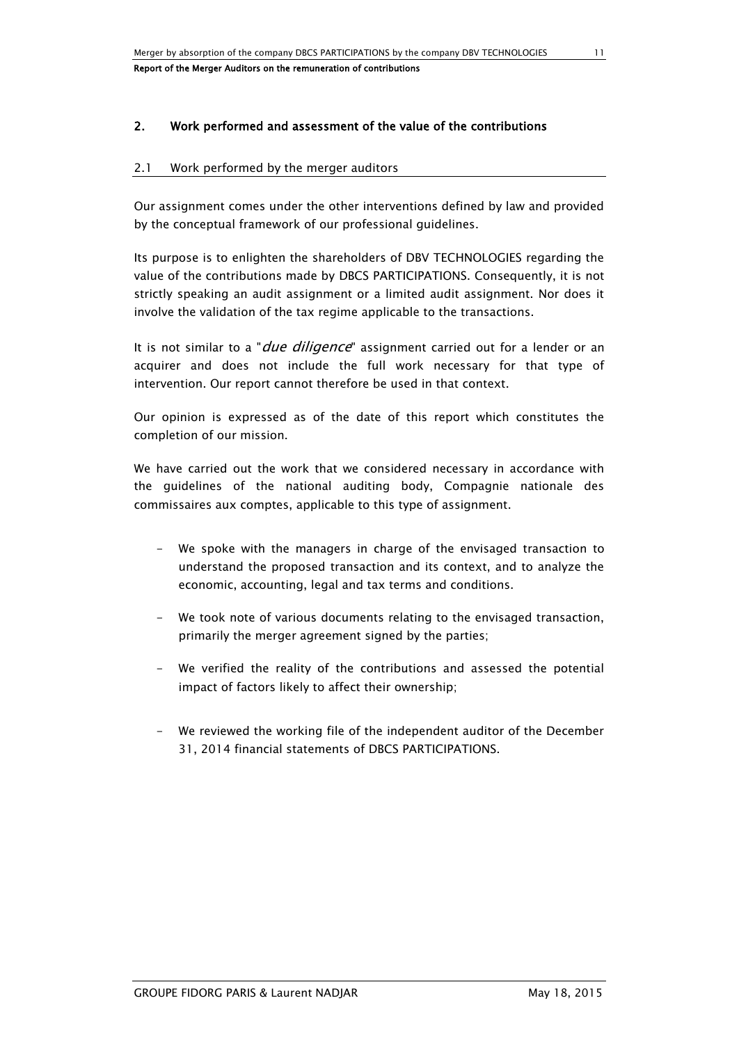# 2. Work performed and assessment of the value of the contributions

#### 2.1 Work performed by the merger auditors

Our assignment comes under the other interventions defined by law and provided by the conceptual framework of our professional guidelines.

Its purpose is to enlighten the shareholders of DBV TECHNOLOGIES regarding the value of the contributions made by DBCS PARTICIPATIONS. Consequently, it is not strictly speaking an audit assignment or a limited audit assignment. Nor does it involve the validation of the tax regime applicable to the transactions.

It is not similar to a "*due diligence*" assignment carried out for a lender or an acquirer and does not include the full work necessary for that type of intervention. Our report cannot therefore be used in that context.

Our opinion is expressed as of the date of this report which constitutes the completion of our mission.

We have carried out the work that we considered necessary in accordance with the guidelines of the national auditing body, Compagnie nationale des commissaires aux comptes, applicable to this type of assignment.

- We spoke with the managers in charge of the envisaged transaction to understand the proposed transaction and its context, and to analyze the economic, accounting, legal and tax terms and conditions.
- We took note of various documents relating to the envisaged transaction, primarily the merger agreement signed by the parties;
- We verified the reality of the contributions and assessed the potential impact of factors likely to affect their ownership;
- We reviewed the working file of the independent auditor of the December 31, 2014 financial statements of DBCS PARTICIPATIONS.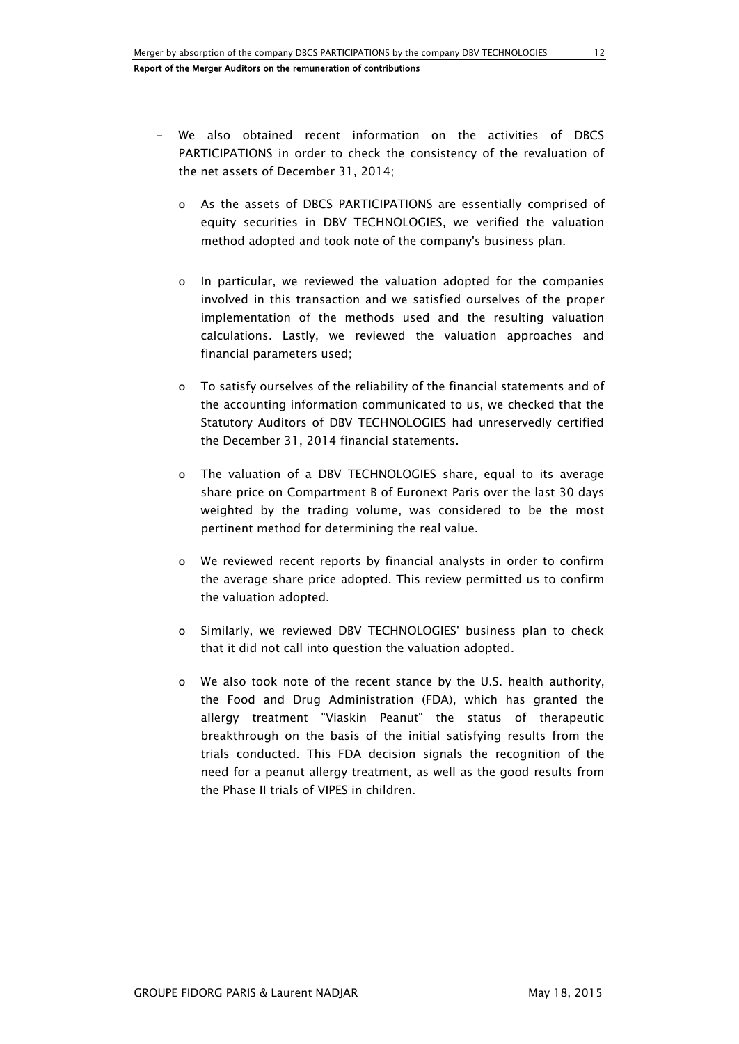- We also obtained recent information on the activities of DBCS PARTICIPATIONS in order to check the consistency of the revaluation of the net assets of December 31, 2014;
	- o As the assets of DBCS PARTICIPATIONS are essentially comprised of equity securities in DBV TECHNOLOGIES, we verified the valuation method adopted and took note of the company's business plan.
	- o In particular, we reviewed the valuation adopted for the companies involved in this transaction and we satisfied ourselves of the proper implementation of the methods used and the resulting valuation calculations. Lastly, we reviewed the valuation approaches and financial parameters used;
	- o To satisfy ourselves of the reliability of the financial statements and of the accounting information communicated to us, we checked that the Statutory Auditors of DBV TECHNOLOGIES had unreservedly certified the December 31, 2014 financial statements.
	- o The valuation of a DBV TECHNOLOGIES share, equal to its average share price on Compartment B of Euronext Paris over the last 30 days weighted by the trading volume, was considered to be the most pertinent method for determining the real value.
	- o We reviewed recent reports by financial analysts in order to confirm the average share price adopted. This review permitted us to confirm the valuation adopted.
	- o Similarly, we reviewed DBV TECHNOLOGIES' business plan to check that it did not call into question the valuation adopted.
	- o We also took note of the recent stance by the U.S. health authority, the Food and Drug Administration (FDA), which has granted the allergy treatment "Viaskin Peanut" the status of therapeutic breakthrough on the basis of the initial satisfying results from the trials conducted. This FDA decision signals the recognition of the need for a peanut allergy treatment, as well as the good results from the Phase II trials of VIPES in children.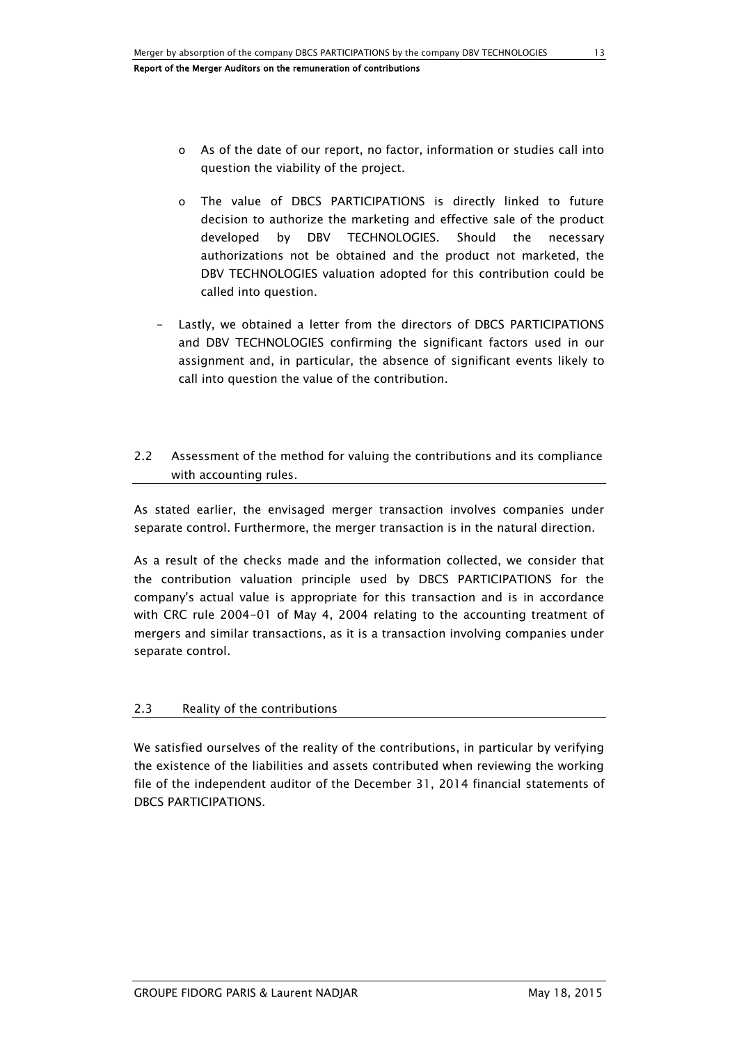- o As of the date of our report, no factor, information or studies call into question the viability of the project.
- o The value of DBCS PARTICIPATIONS is directly linked to future decision to authorize the marketing and effective sale of the product developed by DBV TECHNOLOGIES. Should the necessary authorizations not be obtained and the product not marketed, the DBV TECHNOLOGIES valuation adopted for this contribution could be called into question.
- Lastly, we obtained a letter from the directors of DBCS PARTICIPATIONS and DBV TECHNOLOGIES confirming the significant factors used in our assignment and, in particular, the absence of significant events likely to call into question the value of the contribution.

# 2.2 Assessment of the method for valuing the contributions and its compliance with accounting rules.

As stated earlier, the envisaged merger transaction involves companies under separate control. Furthermore, the merger transaction is in the natural direction.

As a result of the checks made and the information collected, we consider that the contribution valuation principle used by DBCS PARTICIPATIONS for the company's actual value is appropriate for this transaction and is in accordance with CRC rule 2004-01 of May 4, 2004 relating to the accounting treatment of mergers and similar transactions, as it is a transaction involving companies under separate control.

# 2.3 Reality of the contributions

We satisfied ourselves of the reality of the contributions, in particular by verifying the existence of the liabilities and assets contributed when reviewing the working file of the independent auditor of the December 31, 2014 financial statements of DBCS PARTICIPATIONS.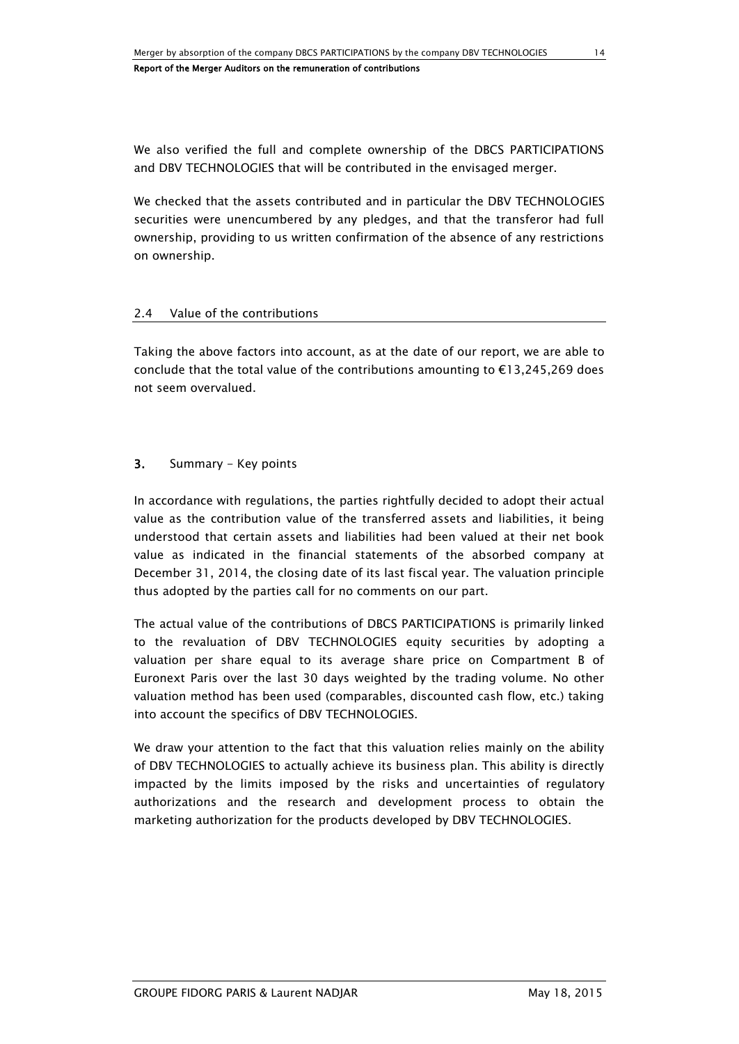We also verified the full and complete ownership of the DBCS PARTICIPATIONS and DBV TECHNOLOGIES that will be contributed in the envisaged merger.

We checked that the assets contributed and in particular the DBV TECHNOLOGIES securities were unencumbered by any pledges, and that the transferor had full ownership, providing to us written confirmation of the absence of any restrictions on ownership.

### 2.4 Value of the contributions

Taking the above factors into account, as at the date of our report, we are able to conclude that the total value of the contributions amounting to  $E13,245,269$  does not seem overvalued.

### 3. Summary - Key points

In accordance with regulations, the parties rightfully decided to adopt their actual value as the contribution value of the transferred assets and liabilities, it being understood that certain assets and liabilities had been valued at their net book value as indicated in the financial statements of the absorbed company at December 31, 2014, the closing date of its last fiscal year. The valuation principle thus adopted by the parties call for no comments on our part.

The actual value of the contributions of DBCS PARTICIPATIONS is primarily linked to the revaluation of DBV TECHNOLOGIES equity securities by adopting a valuation per share equal to its average share price on Compartment B of Euronext Paris over the last 30 days weighted by the trading volume. No other valuation method has been used (comparables, discounted cash flow, etc.) taking into account the specifics of DBV TECHNOLOGIES.

We draw your attention to the fact that this valuation relies mainly on the ability of DBV TECHNOLOGIES to actually achieve its business plan. This ability is directly impacted by the limits imposed by the risks and uncertainties of regulatory authorizations and the research and development process to obtain the marketing authorization for the products developed by DBV TECHNOLOGIES.